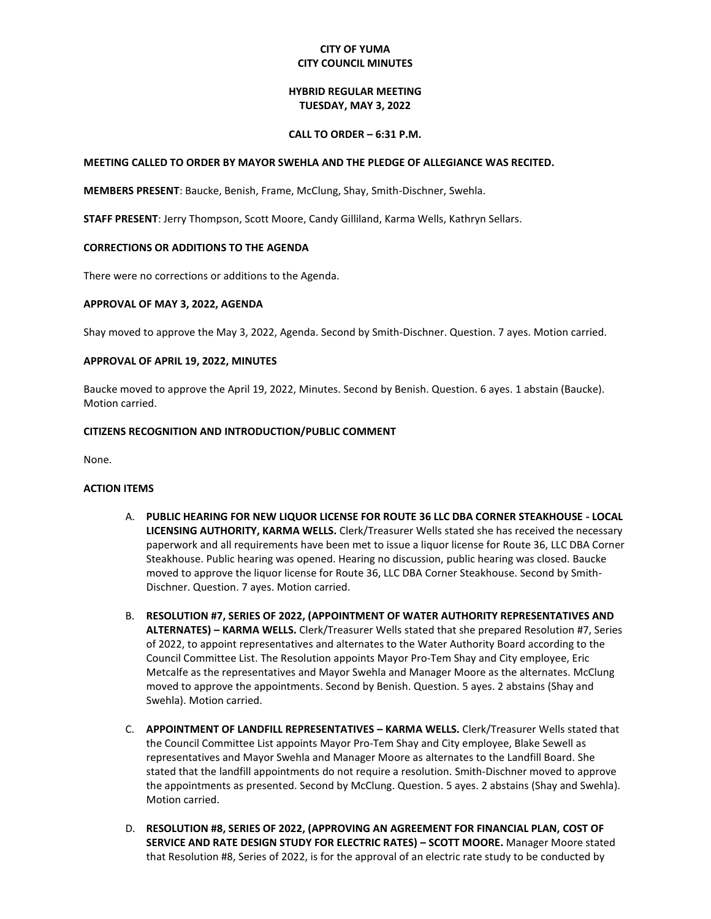# **CITY OF YUMA CITY COUNCIL MINUTES**

## **HYBRID REGULAR MEETING TUESDAY, MAY 3, 2022**

#### **CALL TO ORDER – 6:31 P.M.**

#### **MEETING CALLED TO ORDER BY MAYOR SWEHLA AND THE PLEDGE OF ALLEGIANCE WAS RECITED.**

**MEMBERS PRESENT**: Baucke, Benish, Frame, McClung, Shay, Smith-Dischner, Swehla.

**STAFF PRESENT**: Jerry Thompson, Scott Moore, Candy Gilliland, Karma Wells, Kathryn Sellars.

## **CORRECTIONS OR ADDITIONS TO THE AGENDA**

There were no corrections or additions to the Agenda.

## **APPROVAL OF MAY 3, 2022, AGENDA**

Shay moved to approve the May 3, 2022, Agenda. Second by Smith-Dischner. Question. 7 ayes. Motion carried.

## **APPROVAL OF APRIL 19, 2022, MINUTES**

Baucke moved to approve the April 19, 2022, Minutes. Second by Benish. Question. 6 ayes. 1 abstain (Baucke). Motion carried.

## **CITIZENS RECOGNITION AND INTRODUCTION/PUBLIC COMMENT**

None.

#### **ACTION ITEMS**

- A. **PUBLIC HEARING FOR NEW LIQUOR LICENSE FOR ROUTE 36 LLC DBA CORNER STEAKHOUSE - LOCAL LICENSING AUTHORITY, KARMA WELLS.** Clerk/Treasurer Wells stated she has received the necessary paperwork and all requirements have been met to issue a liquor license for Route 36, LLC DBA Corner Steakhouse. Public hearing was opened. Hearing no discussion, public hearing was closed. Baucke moved to approve the liquor license for Route 36, LLC DBA Corner Steakhouse. Second by Smith-Dischner. Question. 7 ayes. Motion carried.
- B. **RESOLUTION #7, SERIES OF 2022, (APPOINTMENT OF WATER AUTHORITY REPRESENTATIVES AND ALTERNATES) – KARMA WELLS.** Clerk/Treasurer Wells stated that she prepared Resolution #7, Series of 2022, to appoint representatives and alternates to the Water Authority Board according to the Council Committee List. The Resolution appoints Mayor Pro-Tem Shay and City employee, Eric Metcalfe as the representatives and Mayor Swehla and Manager Moore as the alternates. McClung moved to approve the appointments. Second by Benish. Question. 5 ayes. 2 abstains (Shay and Swehla). Motion carried.
- C. **APPOINTMENT OF LANDFILL REPRESENTATIVES – KARMA WELLS.** Clerk/Treasurer Wells stated that the Council Committee List appoints Mayor Pro-Tem Shay and City employee, Blake Sewell as representatives and Mayor Swehla and Manager Moore as alternates to the Landfill Board. She stated that the landfill appointments do not require a resolution. Smith-Dischner moved to approve the appointments as presented. Second by McClung. Question. 5 ayes. 2 abstains (Shay and Swehla). Motion carried.
- D. **RESOLUTION #8, SERIES OF 2022, (APPROVING AN AGREEMENT FOR FINANCIAL PLAN, COST OF SERVICE AND RATE DESIGN STUDY FOR ELECTRIC RATES) – SCOTT MOORE.** Manager Moore stated that Resolution #8, Series of 2022, is for the approval of an electric rate study to be conducted by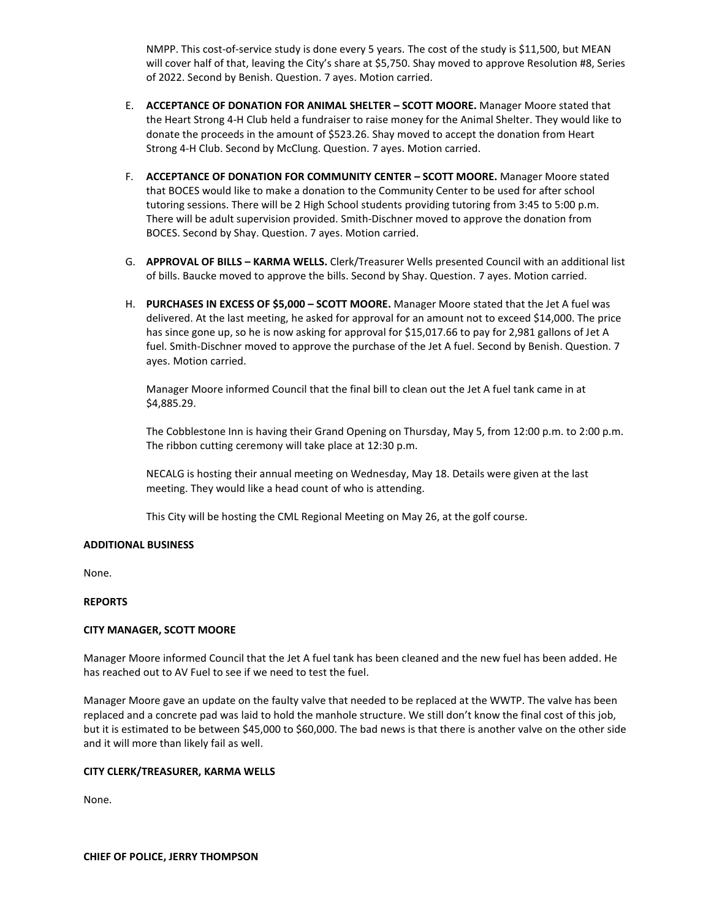NMPP. This cost-of-service study is done every 5 years. The cost of the study is \$11,500, but MEAN will cover half of that, leaving the City's share at \$5,750. Shay moved to approve Resolution #8, Series of 2022. Second by Benish. Question. 7 ayes. Motion carried.

- E. **ACCEPTANCE OF DONATION FOR ANIMAL SHELTER – SCOTT MOORE.** Manager Moore stated that the Heart Strong 4-H Club held a fundraiser to raise money for the Animal Shelter. They would like to donate the proceeds in the amount of \$523.26. Shay moved to accept the donation from Heart Strong 4-H Club. Second by McClung. Question. 7 ayes. Motion carried.
- F. **ACCEPTANCE OF DONATION FOR COMMUNITY CENTER – SCOTT MOORE.** Manager Moore stated that BOCES would like to make a donation to the Community Center to be used for after school tutoring sessions. There will be 2 High School students providing tutoring from 3:45 to 5:00 p.m. There will be adult supervision provided. Smith-Dischner moved to approve the donation from BOCES. Second by Shay. Question. 7 ayes. Motion carried.
- G. **APPROVAL OF BILLS – KARMA WELLS.** Clerk/Treasurer Wells presented Council with an additional list of bills. Baucke moved to approve the bills. Second by Shay. Question. 7 ayes. Motion carried.
- H. **PURCHASES IN EXCESS OF \$5,000 – SCOTT MOORE.** Manager Moore stated that the Jet A fuel was delivered. At the last meeting, he asked for approval for an amount not to exceed \$14,000. The price has since gone up, so he is now asking for approval for \$15,017.66 to pay for 2,981 gallons of Jet A fuel. Smith-Dischner moved to approve the purchase of the Jet A fuel. Second by Benish. Question. 7 ayes. Motion carried.

Manager Moore informed Council that the final bill to clean out the Jet A fuel tank came in at \$4,885.29.

The Cobblestone Inn is having their Grand Opening on Thursday, May 5, from 12:00 p.m. to 2:00 p.m. The ribbon cutting ceremony will take place at 12:30 p.m.

NECALG is hosting their annual meeting on Wednesday, May 18. Details were given at the last meeting. They would like a head count of who is attending.

This City will be hosting the CML Regional Meeting on May 26, at the golf course.

#### **ADDITIONAL BUSINESS**

None.

## **REPORTS**

#### **CITY MANAGER, SCOTT MOORE**

Manager Moore informed Council that the Jet A fuel tank has been cleaned and the new fuel has been added. He has reached out to AV Fuel to see if we need to test the fuel.

Manager Moore gave an update on the faulty valve that needed to be replaced at the WWTP. The valve has been replaced and a concrete pad was laid to hold the manhole structure. We still don't know the final cost of this job, but it is estimated to be between \$45,000 to \$60,000. The bad news is that there is another valve on the other side and it will more than likely fail as well.

#### **CITY CLERK/TREASURER, KARMA WELLS**

None.